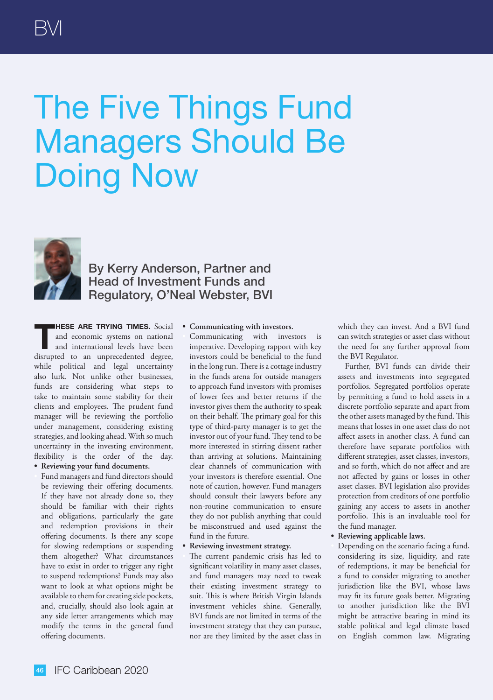## The Five Things Fund Managers Should Be Doing Now



By Kerry Anderson, Partner and Head of Investment Funds and Regulatory, O'Neal Webster, BVI

**T HESE ARE TRYING TIMES.** Social and economic systems on national and international levels have been disrupted to an unprecedented degree, while political and legal uncertainty also lurk. Not unlike other businesses, funds are considering what steps to take to maintain some stability for their clients and employees. The prudent fund manager will be reviewing the portfolio under management, considering existing strategies, and looking ahead. With so much uncertainty in the investing environment, flexibility is the order of the day. **• Reviewing your fund documents.**

• Fund managers and fund directors should be reviewing their offering documents. If they have not already done so, they should be familiar with their rights and obligations, particularly the gate and redemption provisions in their offering documents. Is there any scope for slowing redemptions or suspending them altogether? What circumstances have to exist in order to trigger any right to suspend redemptions? Funds may also want to look at what options might be available to them for creating side pockets, and, crucially, should also look again at any side letter arrangements which may modify the terms in the general fund offering documents.

**• Communicating with investors.**

Communicating with investors is imperative. Developing rapport with key investors could be beneficial to the fund in the long run. There is a cottage industry in the funds arena for outside managers to approach fund investors with promises of lower fees and better returns if the investor gives them the authority to speak on their behalf. The primary goal for this type of third-party manager is to get the investor out of your fund. They tend to be more interested in stirring dissent rather than arriving at solutions. Maintaining clear channels of communication with your investors is therefore essential. One note of caution, however. Fund managers should consult their lawyers before any non-routine communication to ensure they do not publish anything that could be misconstrued and used against the fund in the future.

**• Reviewing investment strategy.**

The current pandemic crisis has led to significant volatility in many asset classes, and fund managers may need to tweak their existing investment strategy to suit. This is where British Virgin Islands investment vehicles shine. Generally, BVI funds are not limited in terms of the investment strategy that they can pursue, nor are they limited by the asset class in which they can invest. And a BVI fund can switch strategies or asset class without the need for any further approval from the BVI Regulator.

Further, BVI funds can divide their assets and investments into segregated portfolios. Segregated portfolios operate by permitting a fund to hold assets in a discrete portfolio separate and apart from the other assets managed by the fund. This means that losses in one asset class do not affect assets in another class. A fund can therefore have separate portfolios with different strategies, asset classes, investors, and so forth, which do not affect and are not affected by gains or losses in other asset classes. BVI legislation also provides protection from creditors of one portfolio gaining any access to assets in another portfolio. This is an invaluable tool for the fund manager.

**• Reviewing applicable laws.**

• Depending on the scenario facing a fund, considering its size, liquidity, and rate of redemptions, it may be beneficial for a fund to consider migrating to another jurisdiction like the BVI, whose laws may fit its future goals better. Migrating to another jurisdiction like the BVI might be attractive bearing in mind its stable political and legal climate based on English common law. Migrating